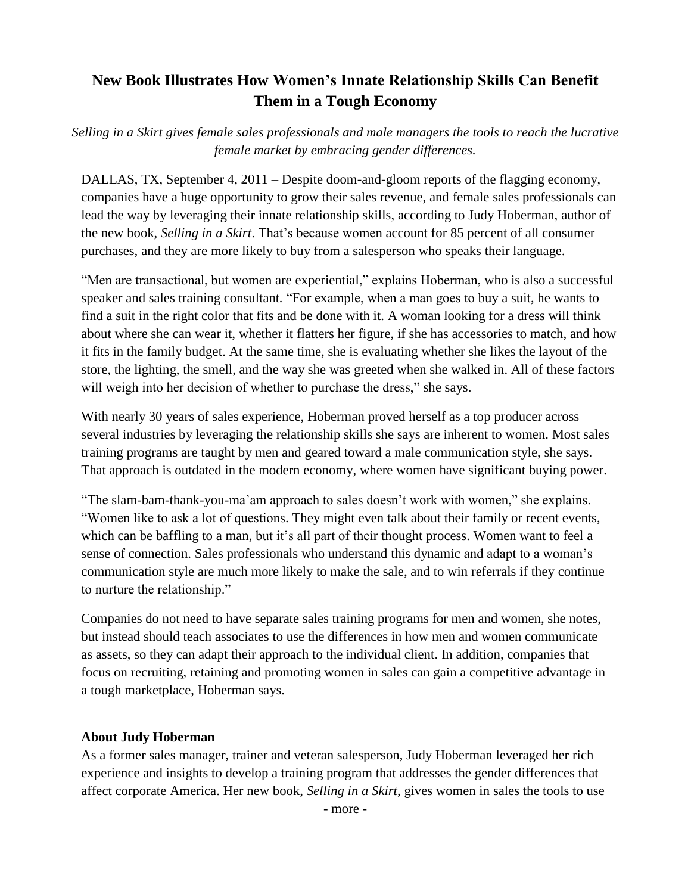## **New Book Illustrates How Women's Innate Relationship Skills Can Benefit Them in a Tough Economy**

*Selling in a Skirt gives female sales professionals and male managers the tools to reach the lucrative female market by embracing gender differences.*

DALLAS, TX, September 4, 2011 – Despite doom-and-gloom reports of the flagging economy, companies have a huge opportunity to grow their sales revenue, and female sales professionals can lead the way by leveraging their innate relationship skills, according to Judy Hoberman, author of the new book, *Selling in a Skirt*. That's because women account for 85 percent of all consumer purchases, and they are more likely to buy from a salesperson who speaks their language.

"Men are transactional, but women are experiential," explains Hoberman, who is also a successful speaker and sales training consultant*.* "For example, when a man goes to buy a suit, he wants to find a suit in the right color that fits and be done with it. A woman looking for a dress will think about where she can wear it, whether it flatters her figure, if she has accessories to match, and how it fits in the family budget. At the same time, she is evaluating whether she likes the layout of the store, the lighting, the smell, and the way she was greeted when she walked in. All of these factors will weigh into her decision of whether to purchase the dress," she says.

With nearly 30 years of sales experience, Hoberman proved herself as a top producer across several industries by leveraging the relationship skills she says are inherent to women. Most sales training programs are taught by men and geared toward a male communication style, she says. That approach is outdated in the modern economy, where women have significant buying power.

"The slam-bam-thank-you-ma'am approach to sales doesn't work with women," she explains. "Women like to ask a lot of questions. They might even talk about their family or recent events, which can be baffling to a man, but it's all part of their thought process. Women want to feel a sense of connection. Sales professionals who understand this dynamic and adapt to a woman's communication style are much more likely to make the sale, and to win referrals if they continue to nurture the relationship."

Companies do not need to have separate sales training programs for men and women, she notes, but instead should teach associates to use the differences in how men and women communicate as assets, so they can adapt their approach to the individual client. In addition, companies that focus on recruiting, retaining and promoting women in sales can gain a competitive advantage in a tough marketplace, Hoberman says.

## **About Judy Hoberman**

As a former sales manager, trainer and veteran salesperson, Judy Hoberman leveraged her rich experience and insights to develop a training program that addresses the gender differences that affect corporate America. Her new book, *Selling in a Skirt*, gives women in sales the tools to use